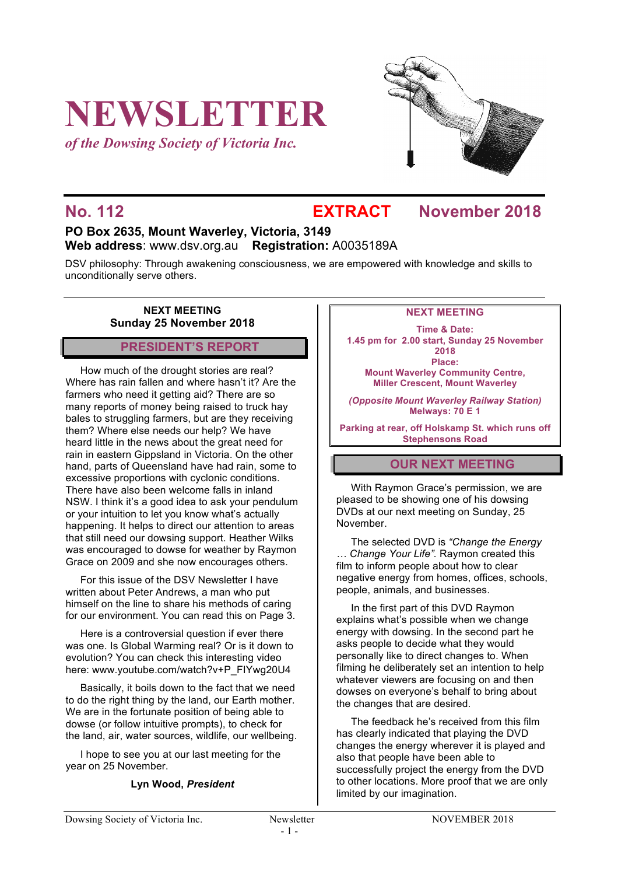# **NEWSLETTER**

*of the Dowsing Society of Victoria Inc.*



## **No. 112 EXTRACT November 2018**

### **PO Box 2635, Mount Waverley, Victoria, 3149 Web address**: www.dsv.org.au **Registration:** A0035189A

DSV philosophy: Through awakening consciousness, we are empowered with knowledge and skills to unconditionally serve others.

#### **NEXT MEETING Sunday 25 November 2018**

#### **PRESIDENT'S REPORT**

How much of the drought stories are real? Where has rain fallen and where hasn't it? Are the farmers who need it getting aid? There are so many reports of money being raised to truck hay bales to struggling farmers, but are they receiving them? Where else needs our help? We have heard little in the news about the great need for rain in eastern Gippsland in Victoria. On the other hand, parts of Queensland have had rain, some to excessive proportions with cyclonic conditions. There have also been welcome falls in inland NSW. I think it's a good idea to ask your pendulum or your intuition to let you know what's actually happening. It helps to direct our attention to areas that still need our dowsing support. Heather Wilks was encouraged to dowse for weather by Raymon Grace on 2009 and she now encourages others.

For this issue of the DSV Newsletter I have written about Peter Andrews, a man who put himself on the line to share his methods of caring for our environment. You can read this on Page 3.

Here is a controversial question if ever there was one. Is Global Warming real? Or is it down to evolution? You can check this interesting video here: www.youtube.com/watch?v+P\_FIYwg20U4

Basically, it boils down to the fact that we need to do the right thing by the land, our Earth mother. We are in the fortunate position of being able to dowse (or follow intuitive prompts), to check for the land, air, water sources, wildlife, our wellbeing.

I hope to see you at our last meeting for the year on 25 November.

#### **Lyn Wood,** *President*

#### **NEXT MEETING**

**Time & Date: 1.45 pm for 2.00 start, Sunday 25 November 2018 Place: Mount Waverley Community Centre, Miller Crescent, Mount Waverley**

*(Opposite Mount Waverley Railway Station)* **Melways: 70 E 1**

**Parking at rear, off Holskamp St. which runs off Stephensons Road**

#### **OUR NEXT MEETING**

With Raymon Grace's permission, we are pleased to be showing one of his dowsing DVDs at our next meeting on Sunday, 25 November.

The selected DVD is *"Change the Energy … Change Your Life".* Raymon created this film to inform people about how to clear negative energy from homes, offices, schools, people, animals, and businesses.

In the first part of this DVD Raymon explains what's possible when we change energy with dowsing. In the second part he asks people to decide what they would personally like to direct changes to. When filming he deliberately set an intention to help whatever viewers are focusing on and then dowses on everyone's behalf to bring about the changes that are desired.

The feedback he's received from this film has clearly indicated that playing the DVD changes the energy wherever it is played and also that people have been able to successfully project the energy from the DVD to other locations. More proof that we are only limited by our imagination.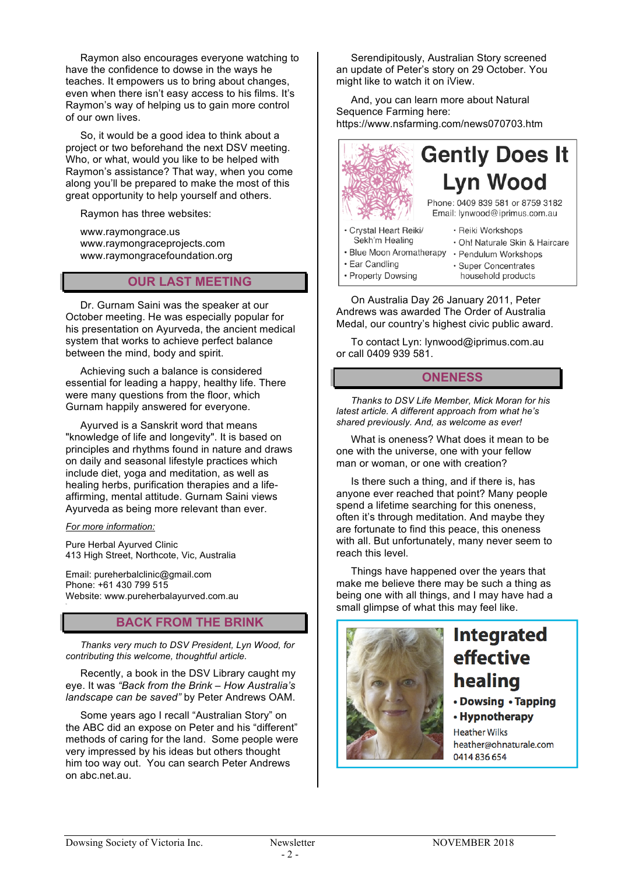Raymon also encourages everyone watching to have the confidence to dowse in the ways he teaches. It empowers us to bring about changes, even when there isn't easy access to his films. It's Raymon's way of helping us to gain more control of our own lives.

So, it would be a good idea to think about a project or two beforehand the next DSV meeting. Who, or what, would you like to be helped with Raymon's assistance? That way, when you come along you'll be prepared to make the most of this great opportunity to help yourself and others.

Raymon has three websites:

www.raymongrace.us www.raymongraceprojects.com www.raymongracefoundation.org

#### **OUR LAST MEETING**

Dr. Gurnam Saini was the speaker at our October meeting. He was especially popular for his presentation on Ayurveda, the ancient medical system that works to achieve perfect balance between the mind, body and spirit.

Achieving such a balance is considered essential for leading a happy, healthy life. There were many questions from the floor, which Gurnam happily answered for everyone.

Ayurved is a Sanskrit word that means "knowledge of life and longevity". It is based on principles and rhythms found in nature and draws on daily and seasonal lifestyle practices which include diet, yoga and meditation, as well as healing herbs, purification therapies and a lifeaffirming, mental attitude. Gurnam Saini views Ayurveda as being more relevant than ever.

#### *For more information:*

Pure Herbal Ayurved Clinic 413 High Street, Northcote, Vic, Australia

Email: pureherbalclinic@gmail.com Phone: +61 430 799 515 Website: www.pureherbalayurved.com.au

#### **BACK FROM THE BRINK**

*Thanks very much to DSV President, Lyn Wood, for contributing this welcome, thoughtful article.*

Recently, a book in the DSV Library caught my eye. It was *"Back from the Brink – How Australia's landscape can be saved"* by Peter Andrews OAM.

Some years ago I recall "Australian Story" on the ABC did an expose on Peter and his "different" methods of caring for the land. Some people were very impressed by his ideas but others thought him too way out. You can search Peter Andrews on abc.net.au.

Serendipitously, Australian Story screened an update of Peter's story on 29 October. You might like to watch it on iView.

And, you can learn more about Natural Sequence Farming here: https://www.nsfarming.com/news070703.htm



On Australia Day 26 January 2011, Peter Andrews was awarded The Order of Australia Medal, our country's highest civic public award.

To contact Lyn: lynwood@iprimus.com.au or call 0409 939 581.

#### **ONENESS**

*Thanks to DSV Life Member, Mick Moran for his latest article. A different approach from what he's shared previously. And, as welcome as ever!*

What is oneness? What does it mean to be one with the universe, one with your fellow man or woman, or one with creation?

Is there such a thing, and if there is, has anyone ever reached that point? Many people spend a lifetime searching for this oneness, often it's through meditation. And maybe they are fortunate to find this peace, this oneness with all. But unfortunately, many never seem to reach this level.

Things have happened over the years that make me believe there may be such a thing as being one with all things, and I may have had a small glimpse of what this may feel like.

![](_page_1_Picture_25.jpeg)

## **Integrated** effective healing

• Dowsing • Tapping

• Hypnotherapy

**Heather Wilks** heather@ohnaturale.com 0414 836 654